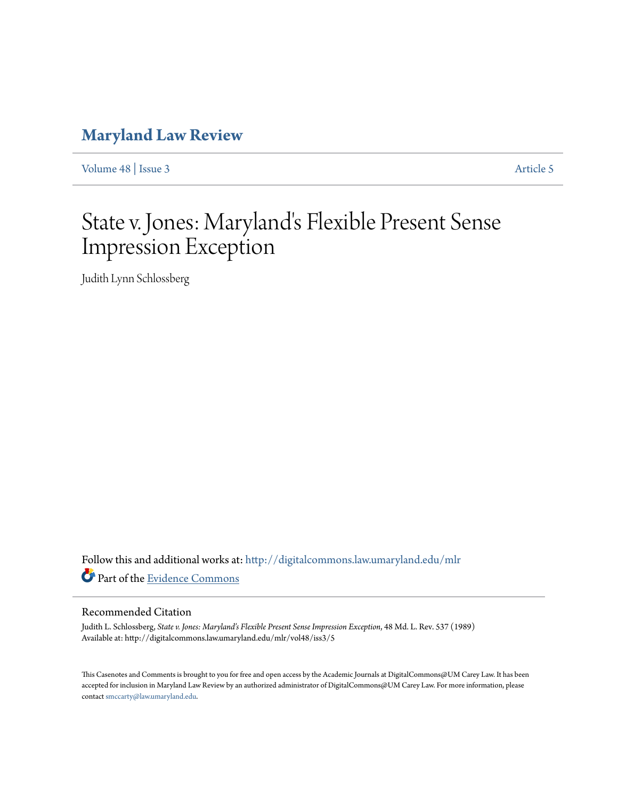# **[Maryland Law Review](http://digitalcommons.law.umaryland.edu/mlr?utm_source=digitalcommons.law.umaryland.edu%2Fmlr%2Fvol48%2Fiss3%2F5&utm_medium=PDF&utm_campaign=PDFCoverPages)**

[Volume 48](http://digitalcommons.law.umaryland.edu/mlr/vol48?utm_source=digitalcommons.law.umaryland.edu%2Fmlr%2Fvol48%2Fiss3%2F5&utm_medium=PDF&utm_campaign=PDFCoverPages) | [Issue 3](http://digitalcommons.law.umaryland.edu/mlr/vol48/iss3?utm_source=digitalcommons.law.umaryland.edu%2Fmlr%2Fvol48%2Fiss3%2F5&utm_medium=PDF&utm_campaign=PDFCoverPages) [Article 5](http://digitalcommons.law.umaryland.edu/mlr/vol48/iss3/5?utm_source=digitalcommons.law.umaryland.edu%2Fmlr%2Fvol48%2Fiss3%2F5&utm_medium=PDF&utm_campaign=PDFCoverPages)

# State v. Jones: Maryland's Flexible Present Sense Impression Exception

Judith Lynn Schlossberg

Follow this and additional works at: [http://digitalcommons.law.umaryland.edu/mlr](http://digitalcommons.law.umaryland.edu/mlr?utm_source=digitalcommons.law.umaryland.edu%2Fmlr%2Fvol48%2Fiss3%2F5&utm_medium=PDF&utm_campaign=PDFCoverPages) Part of the [Evidence Commons](http://network.bepress.com/hgg/discipline/601?utm_source=digitalcommons.law.umaryland.edu%2Fmlr%2Fvol48%2Fiss3%2F5&utm_medium=PDF&utm_campaign=PDFCoverPages)

# Recommended Citation

Judith L. Schlossberg, *State v. Jones: Maryland's Flexible Present Sense Impression Exception*, 48 Md. L. Rev. 537 (1989) Available at: http://digitalcommons.law.umaryland.edu/mlr/vol48/iss3/5

This Casenotes and Comments is brought to you for free and open access by the Academic Journals at DigitalCommons@UM Carey Law. It has been accepted for inclusion in Maryland Law Review by an authorized administrator of DigitalCommons@UM Carey Law. For more information, please contact [smccarty@law.umaryland.edu.](mailto:smccarty@law.umaryland.edu)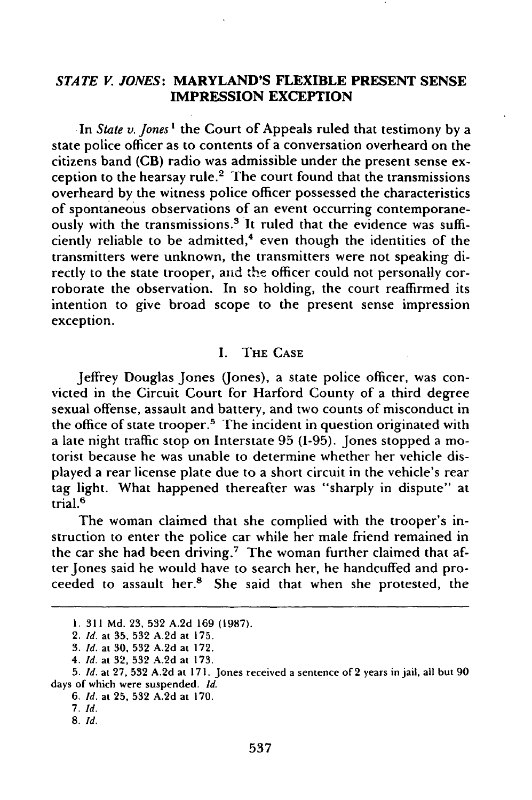# *STATE V. JONES:* MARYLAND'S FLEXIBLE **PRESENT SENSE IMPRESSION** EXCEPTION

In *State v. Jones I* the Court of Appeals ruled that testimony by a state police officer as to contents of a conversation overheard on the citizens band (CB) radio was admissible under the present sense exception to the hearsay rule.<sup>2</sup> The court found that the transmissions overheard by the witness police officer possessed the characteristics of spontaneous observations of an event occurring contemporaneously with the transmissions.<sup>3</sup> It ruled that the evidence was sufficiently reliable to be admitted, $4$  even though the identities of the transmitters were unknown, the transmitters were not speaking directly to the state trooper, anid the officer could not personally corroborate the observation. In so holding, the court reaffirmed its intention to give broad scope to the present sense impression exception.

# I. THE **CASE**

Jeffrey Douglas Jones (Jones), a state police officer, was convicted in the Circuit Court for Harford County of a third degree sexual offense, assault and battery, and two counts of misconduct in the office of state trooper.<sup>5</sup> The incident in question originated with a late night traffic stop on Interstate 95 (1-95). Jones stopped a motorist because he was unable to determine whether her vehicle displayed a rear license plate due to a short circuit in the vehicle's rear tag light. What happened thereafter was "sharply in dispute" at trial. <sup>6</sup>

The woman claimed that she complied with the trooper's instruction to enter the police car while her male friend remained in the car she had been driving.<sup>7</sup> The woman further claimed that after Jones said he would have to search her, he handcuffed and proceeded to assault her.<sup>8</sup> She said that when she protested, the

**8.** *Id.*

**<sup>1.</sup> 311 Md. 23, 532 A.2d 169 (1987).**

<sup>2.</sup> *Id.* at **35, 532 A.2d** at **175.**

**<sup>3.</sup>** *Id.* at **30, 532 A.2d** at **172.**

<sup>4.</sup> *Id.* at **32, 532 A.2d** at **173.**

**<sup>5.</sup>** *Id.* at **27, 532 A.2d** at **171.** Jones received a sentence of 2 years in jail, all but **90** days of which were suspended. *Id.*

**<sup>6.</sup>** *Id.* at **25, 532 A.2d** at **170.**

**<sup>7.</sup>** *Id.*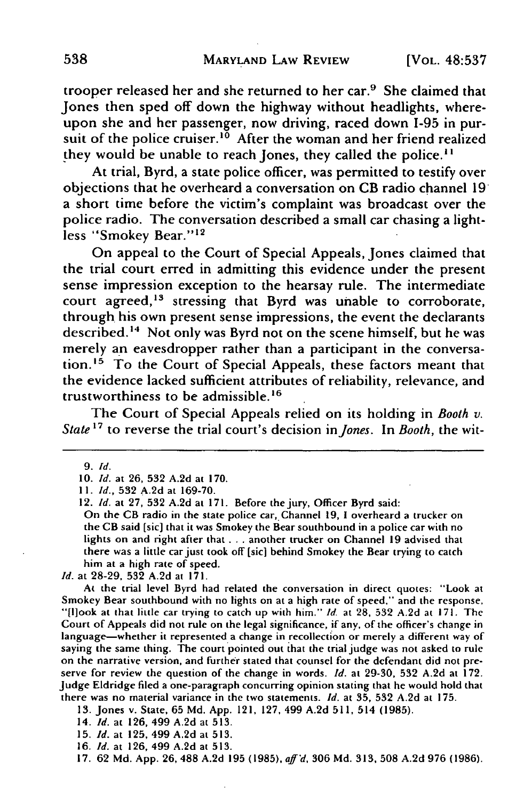trooper released her and she returned to her car.9 She claimed that Jones then sped off down the highway without headlights, whereupon she and her passenger, now driving, raced down 1-95 in pursuit of the police cruiser.<sup>10</sup> After the woman and her friend realized they would be unable to reach Jones, they called the police.<sup>11</sup>

At trial, Byrd, a state police officer, was permitted to testify over objections that he overheard a conversation on CB radio channel **19** a short time before the victim's complaint was broadcast over the police radio. The conversation described a small car chasing a lightless "Smokey Bear."<sup>12</sup>

On appeal to the Court of Special Appeals, Jones claimed that the trial court erred in admitting this evidence under the present sense impression exception to the hearsay rule. The intermediate court agreed, $13$  stressing that Byrd was unable to corroborate, through his own present sense impressions, the event the declarants described.<sup>14</sup> Not only was Byrd not on the scene himself, but he was merely an eavesdropper rather than a participant in the conversation.<sup>15</sup> To the Court of Special Appeals, these factors meant that the evidence lacked sufficient attributes of reliability, relevance, and trustworthiness to be admissible.<sup>16</sup>

The Court of Special Appeals relied on its holding in *Booth v. State' <sup>7</sup>*to reverse the trial court's decision *in Jones.* In *Booth,* the wit-

On the **CB** radio in **the** state police car, Channel 19, **1** overheard a trucker on the CB said [sic] that it was Smokey the Bear southbound in a police car with no lights on and right after that . . . another trucker on Channel **19** advised that there was a little car just took off [sic] behind Smokey the Bear trying to catch him at a high rate of speed.

*Id.* at 28-29, 532 A.2d at 171.

At the trial level Byrd had related the conversation in direct quotes: "Look at Smokey Bear southbound with no lights on at a high rate of speed," and the response, "[hlook at that little car trying to catch up with him." *Id.* at 28, 532 A.2d at 171. The Court of Appeals did not rule on the legal significance, if any, of the officer's change in language--whether it represented a change in recollection or merely a different way of saying the same thing. The court pointed out that the trial judge was not asked to rule on the narrative version, and further stated that counsel for the defendant did not preserve for review the question of the change in words. *Id.* at 29-30, 532 A.2d at 172. Judge Eldridge filed a one-paragraph concurring opinion stating that he would hold that there was no material variance in the two statements. *Id.* at 35, 532 A.2d at 175.

13. Jones v. State, 65 Md. App. 121, 127, 499 A.2d 511, 514 (1985).

14. *Id.* at 126, 499 A.2d at 513.

15. **Id.** at 125, 499 **A.2d** at 513.

16. *Id.* at 126, 499 A.2d at 513.

17. 62 Md. App. 26, **488** A.2d 195 (1985), *aff'd,* 306 Md. 313, 508 A.2d 976 (1986).

**<sup>9.</sup>** *Id.*

<sup>10.</sup> *Id.* at 26, 532 A.2d at 170.

**<sup>11.</sup>** *Id.,* 532 A.2d at 169-70.

<sup>12.</sup> *Id.* at 27, 532 A.2d at 171. Before the jury, Officer Byrd said: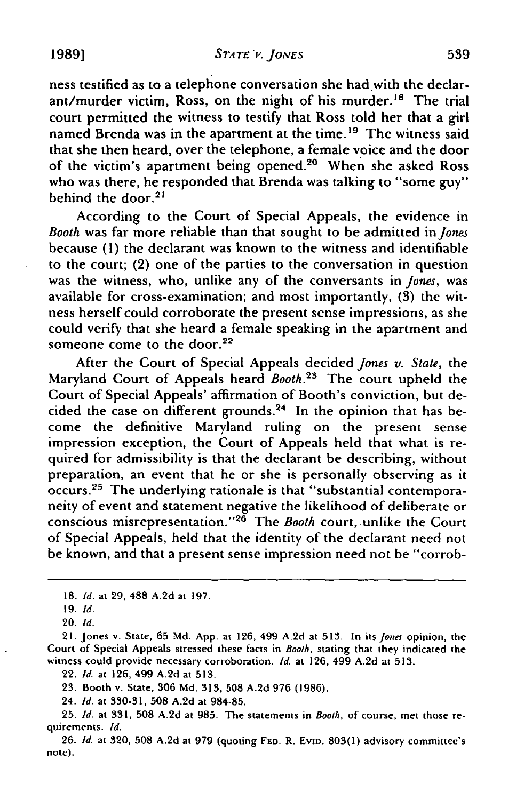*STATE "'.* **JONES 1989] 539**

ness testified as to a telephone conversation she had with the declarant/murder victim, Ross, on the night of his murder.<sup>18</sup> The trial court permitted the witness to testify that Ross told her that a girl named Brenda was in the apartment at the time.<sup>19</sup> The witness said that she then heard, over the telephone, a female voice and the door of the victim's apartment being opened.<sup>20</sup> When she asked Ross who was there, he responded that Brenda was talking to "some guy" behind the door. $2<sup>1</sup>$ 

According to the Court of Special Appeals, the evidence in *Booth* was far more reliable than that sought to be admitted in *Jones* because (1) the declarant was known to the witness and identifiable to the court; (2) one of the parties to the conversation in question was the witness, who, unlike any of the conversants in *Jones,* was available for cross-examination; and most importantly, **(3)** the witness herself could corroborate the present sense impressions, as she could verify that she heard a female speaking in the apartment and someone come to the door.<sup>22</sup>

After the Court of Special Appeals decided *Jones v. State,* the Maryland Court of Appeals heard *Booth*.<sup>23</sup> The court upheld the Court of Special Appeals' affirmation of Booth's conviction, but decided the case on different grounds.<sup>24</sup> In the opinion that has become the definitive Maryland ruling on the present sense impression exception, the Court of Appeals held that what is required for admissibility is that the declarant be describing, without preparation, an event that he or she is personally observing as it occurs.<sup>25</sup> The underlying rationale is that "substantial contemporaneity of event and statement negative the likelihood of deliberate or conscious misrepresentation."<sup>26</sup> The *Booth* court, unlike the Court of Special Appeals, held that the identity of the declarant need not be known, and that a present sense impression need not be "corrob-

22. Id. at 126, 499 A.2d at 513.

23. Booth v. State, 306 **Md.** 313, 508 A.2d 976 (1986).

24. **Id.** at 330-31, **508** A.2d at 984-85.

<sup>18.</sup> *Id.* at **29, 488** A.2d at 197.

**<sup>19.</sup>** *Id.*

<sup>20.</sup> **Id.**

<sup>21.</sup> Jones v. State, **65** Md. App. at 126, 499 A.2d at 513. In its *Jones* opinion, the Court of Special Appeals stressed these facts in Booth, stating that they indicated the witness could provide necessary corroboration. **Id.** at 126, 499 A.2d at 513.

<sup>25.</sup> Id. at 331, **508** A.2d at 985. The statements in Booth, of course, met those requirements. Id.

<sup>26.</sup> Id. at 320, 508 A.2d at 979 (quoting **FED.** R. EVID. 803(1) advisory committee's note).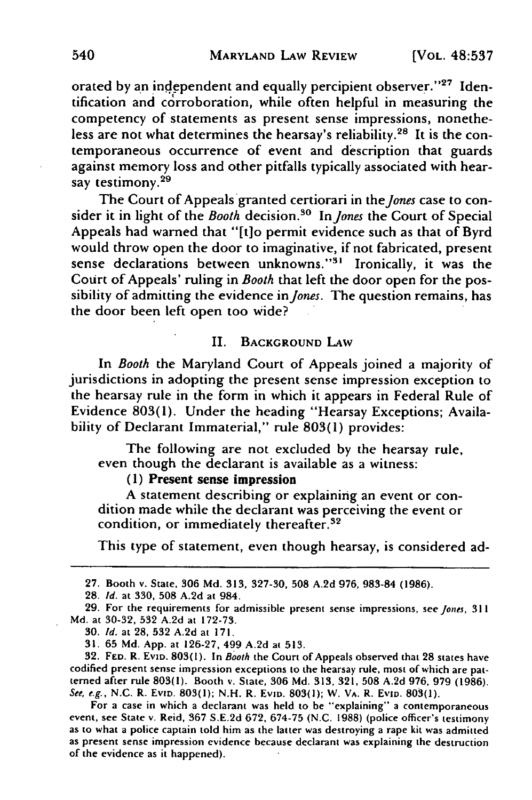orated by an independent and equally percipient observer."<sup>27</sup> Identification and corroboration, while often helpful in measuring the competency of statements as present sense impressions, nonetheless are not what determines the hearsay's reliability. 28 It is the contemporaneous occurrence of event and description that guards against memory loss and other pitfalls typically associated with hearsay testimony.<sup>29</sup>

The Court of Appeals granted certiorari in *the Jones* case to consider it in light of the *Booth* decision.<sup>30</sup> In *Jones* the Court of Special Appeals had warned that "[t]o permit evidence such as that of Byrd would throw open the door to imaginative, if not fabricated, present sense declarations between unknowns."<sup>31</sup> Ironically, it was the Court of Appeals' ruling in *Booth* that left the door open for the possibility of admitting the evidence in *Jones.* The question remains, has the door been left open too wide?

# II. **BACKGROUND** LAW

In *Booth* the Maryland Court of Appeals joined a majority of jurisdictions in adopting the present sense impression exception to the hearsay rule in the form in which it appears in Federal Rule of Evidence 803(1). Under the heading "Hearsay Exceptions; Availability of Declarant Immaterial," rule 803(1) provides:

The following are not excluded by the hearsay rule, even though the declarant is available as a witness:

# **(1)** Present sense impression

**A** statement describing or explaining an event or condition made while the declarant was perceiving the event or condition, or immediately thereafter.32

This type of statement, even though hearsay, is considered ad-

For a case in which a declarant was held to be "explaining" a contemporaneous event, see State v. Reid, 367 S.E.2d 672, 674-75 (N.C. 1988) (police officer's testimony as to what a police captain told him as the latter was destroying a rape kit was admitted as present sense impression evidence becaus of the evidence as it happened).

**<sup>27.</sup>** Booth v. State, **306 Md. 313, 327-30, 508 A.2d 976, 983-84 (1986).**

**<sup>28.</sup> Id.** at 330, **508 A.2d** at 984.

<sup>29.</sup> For the requirements for admissible present sense impressions, see Jones, 311 **Md.** at **30-32, 532 A.2d** at **172-73.**

**<sup>30.</sup> Id.** at **28, 532 A.2d** at **171.**

**<sup>31. 65</sup> Md. App.** at **126-27,** 499 **A.2d** at **513.**

<sup>32.</sup> **FED.** R. **EvID. 803(l).** In Booth the Court of Appeals observed that **28** states have codified present sense impression exceptions to the hearsay rule, most of which are patterned after rule **803(l).** Booth v. State, **306 Md.** 313, **321, 508 A.2d 976, 979 (1986).** See, e.g., **N.C.** R. EvID. **803(1); N.H.** R. EvniD. **803(1);** W. VA. R. EvID. **803(1).**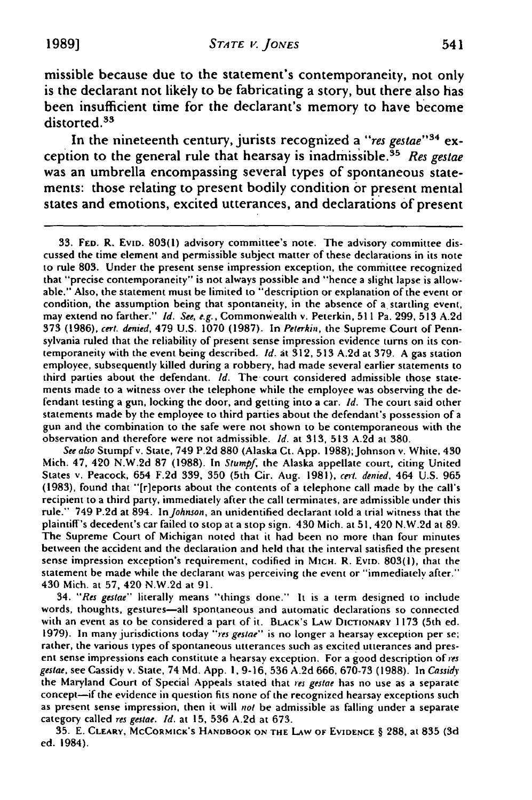missible because due to the statement's contemporaneity, not only is the declarant not likely to be fabricating a story, but there also has been insufficient time for the declarant's memory to have become distorted.<sup>33</sup>

In the nineteenth century, jurists recognized a *"res gestae' <sup>3</sup> <sup>4</sup>*exception to the general rule that hearsay is inadmissible.<sup>35</sup> Res gestae was an umbrella encompassing several types of spontaneous statements: those relating to present bodily condition or present mental states and emotions, excited utterances, and declarations of present

See also Stumpfv. State, 749 **P.2d 880** (Alaska Ct. **App. 1988);Johnson** v. White, 430 Mich. 47, 420 **N.W.2d 87 (1988).** In Stumpf, the Alaska appellate court, citing United States **v.** Peacock, 654 **F.2d 339, 350** (5th Cir. Aug. **1981),** cert. denied, 464 **U.S. 965 (1983),** found that "[r]eports about the contents of a telephone call made **by** the call's recipient to a third party, immediately after the call terminates, are admissible under this rule." 749 **P.2d** at 894. InJohnson, an unidentified declarant told a trial witness that the plaintiff's decedent's car failed to stop at a stop sign. 430 Mich. at **51,** 420 **N.W.2d** at **89.** The Supreme Court of Michigan noted that it had been no more than four minutes between the accident and the declaration and held that the interval satisfied the present sense impression exception's requirement, codified in MIcH. R. EvID. **803(l),** that the statement be made while the declarant was perceiving the event or "immediately after." 430 Mich. at **57,** 420 **N.W.2d** at **91.**

34. "Res gestae" literally means "things done." It is a term designed to include words, thoughts, gestures-all spontaneous and automatic declarations so connected with an event as to be considered a part of it. BLACK's **LAw DICTIONARY 1173** (5th ed. 1979). In many jurisdictions today "res gestae" is no longer a hearsay exception per se; rather, the various types of spontaneous utterances such as excited utterances and present sense impressions each constitute a hearsay exception. For a good description of *res* gestae, see Cassidy v. State, 74 **Md. App. 1, 9-16, 536 A.2d 666, 670-73 (1988).** In Cassidy the Maryland Court of Special Appeals stated that res gestae has no use as a separate concept-if the evidence in question fits none of the recognized hearsay exceptions such as present sense impression, then it will not be admissible as falling under a separate category called res gestae. **Id.** at **15, 536 A.2d** at **673.**

**35. E. CLEARY, MCCORMICK'S HANDBOOK ON THE LAW OF EVIDENCE** § **288,** at **835 (3d** ed. 1984).

**<sup>33.</sup> FED.** R. EviD. **803(1)** advisory committee's note. The advisory committee discussed the time element and permissible subject matter of these declarations in its note to rule **803.** Under the present sense impression exception, the committee recognized that "precise contemporaneity" is not always possible and "hence a slight lapse is allowable." Also, the statement must be limited to "description or explanation of the event or condition, the assumption being that spontaneity, in the absence of a startling event, may extend no farther." *Id. See,* e.g., Commonwealth v. Peterkin, **511** Pa. **299, 513 A.2d 373 (1986),** cert. denied, 479 **U.S. 1070 (1987).** In Peterkin, the Supreme Court of Pennsylvania ruled that the reliability of present sense impression evidence turns on its contemporaneity with the event being described. **Id.** at **312, 513 A.2d** at **379. A** gas station employee, subsequently killed during a robbery, had made several earlier statements to third parties about the defendant. **Id.** The court considered admissible those statements made to a witness over the telephone while the employee was observing the defendant testing a gun, locking the door, and getting into a car. Id. The court said other statements made **by** the employee to third parties about the defendant's possession of a gun and the combination to the safe were not shown to be contemporaneous with the observation and therefore were not admissible. **Id.** at **313, 513 A.2d** at **380.**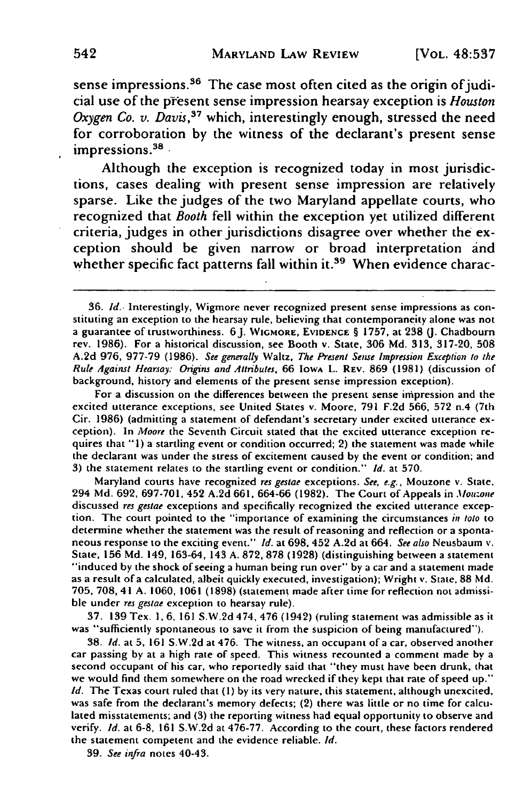sense impressions.<sup>36</sup> The case most often cited as the origin of judicial use of the priesent sense impression hearsay exception is *Houston Oxygen Co. v. Davis*,<sup>37</sup> which, interestingly enough, stressed the need for corroboration by the witness of the declarant's present sense impressions.<sup>38</sup>

Although the exception is recognized today in most jurisdictions, cases dealing with present sense impression are relatively sparse. Like the judges of the two Maryland appellate courts, who recognized that *Booth* fell within the exception yet utilized different criteria, judges in other jurisdictions disagree over whether the exception should be given narrow or broad interpretation and whether specific fact patterns fall within it.<sup>39</sup> When evidence charac-

For a discussion on the differences between the present sense impression and the excited utterance exceptions, see United States v. Moore, **791 F.2d 566, 572 n.4** (7th Cir. **1986)** (admitting a statement of defendant's secretary under excited utterance exception). In *Moore* the Seventh Circuit stated that the excited utterance exception re- quires that **"1)** a startling event or condition occurred; 2) the statement was made while the declarant was under the stress of excitement caused **by** the event or condition; and **3)** the statement relates to the startling event or condition." *Id.* at **570.**

Maryland courts have recognized *res gestae* exceptions. *See, e.g.,* Mouzone v. State, 294 **Md. 692, 697-701,** 452 **A.2d 661,** 664-66 (1982). The Court of Appeals in *.1Iouzone* discussed *res gestae* exceptions and specifically recognized the excited utterance exception. The court pointed to the "importance of examining the circumstances *in toto* to determine whether the statement was the result of reasoning and reflection or a spontaneous response to the exciting event." *Id.* at **698,** 452 **A.2d** at 664. *See also* Neusbaum v. State, **156 Md.** 149, **163-64,** 143 A. 872, **878** (1928) (distinguishing between a statement "induced **by** the shock of seeing a human being run over" **by** a car and a statement made as a result of a calculated, albeit quickly executed, investigation); Wright v. State, 88 **Md.** 705, **708,** 41 A. **1060, 1061** (1898) (statement made after time for reflection not admissible under *res gestae* exception to hearsay rule).

**37. 139** Tex. **1, 6, 161 S.W.2d** 474, 476 (1942) (ruling statement was admissible as it was "sufficiently spontaneous to save it from the suspicion of being manufactured").

**38.** *Id.* at **5, 161 S.W.2d** at 476. The witness, an occupant of a car, observed another car passing **by** at a high rate of speed. This witness recounted a comment made **by** <sup>a</sup> second occupant of his car, who reportedly said that "they must have been drunk, that we would find them somewhere on the road wrecked if they kept that rate of speed up." *Id.* The Texas court ruled that **(1) by** its very nature, this statement, although unexcited, was safe from the declarant's memory defects; (2) there was little or no time for calculated misstatements; and (3) the reporting witness had equal opportunity to observe and verify. *Id.* at 6-8, **161** S.W.2d at **476-77.** According to the court, these factors rendered the statement competent and the evidence reliable. *Id.*

**39.** *See infra* notes 40-43.

**<sup>36.</sup>** *Id..* Interestingly, Wigmore never recognized present sense impressions as constituting an exception to the hearsay rule, believing that contemporaneity alone was not a guarantee of trustworthiness. **6J. WIGMORE, EVIDENCE** § **1757,** at **238** (J. Chadbourn rev. 1986). For a historical discussion, see Booth v. State, **306 Md. 313, 317-20, 508 A.2d 976, 977-79** (1986). *See generally* Waltz, *The Present Sense Impression Exception to the Rule Against Hearsay: Origins and Attributes,* 66 IowA L. **REV.** 869 **(1981)** (discussion of background, history and elements of the present sense impression exception).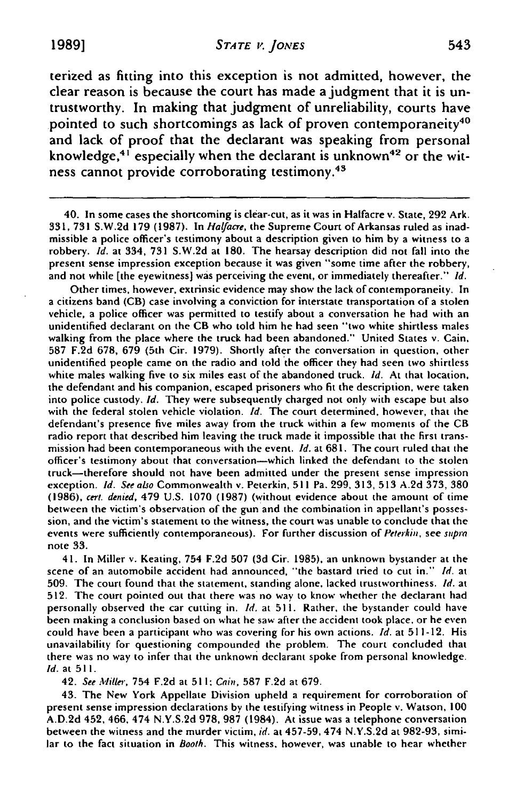terized as fitting into this exception is not admitted, however, the clear reason is because the court has made a judgment that it is untrustworthy. In making that judgment of unreliability, courts have pointed to such shortcomings as lack of proven contemporaneity<sup>40</sup> and lack of proof that the declarant was speaking from personal knowledge, $4^{1}$  especially when the declarant is unknown<sup>42</sup> or the witness cannot provide corroborating testimony.43

40. In some cases the shortcoming is clear-cut, as it was in Halfacre v. State, **292** Ark. **331, 731** S.W.2d 179 (1987). In *Halyacre,* the Supreme Court of Arkansas ruled as inadmissible a police officer's testimony about a description given to him by a witness to a robbery. *Id.* at 334, **731** S.W.2d at 180. The hearsay description did not fall into the present sense impression exception because it was given "some time after the robbery, and not while [the eyewitness] was perceiving the event, or immediately thereafter." *Id.*

Other times, however, extrinsic evidence may show the lack of contemporaneity. In a citizens band (CB) case involving a conviction for interstate transportation of a stolen vehicle, a police officer was permitted to testify about a conversation he had with an unidentified declarant on the CB who told him he had seen "two white shirtless males walking from the place where the truck had been abandoned." United States v. Cain, **587 F.2d 678, 679** (5th Cir. 1979). Shortly after the conversation in question, other unidentified people came on the radio and told the officer they had seen two shirtless white males walking five to six miles east of the abandoned truck. *Id.* At that location, the defendant and his companion, escaped prisoners who fit the description, were taken into police custody. *Id.* They were subsequently charged not only with escape but also with the federal stolen vehicle violation. *Id.* The court determined, however, that the defendant's presence five miles away from the truck within a few moments of the CB radio report that described him leaving the truck made it impossible that the first transmission had been contemporaneous with the event. *id.* at 681. The court ruled that the officer's testimony about that conversation-which linked the defendant to the stolen truck-therefore should not have been admitted under the present sense impression exception. *Id. See also* Commonwealth v. Peterkin, 511 Pa. **299, 313, 513** A.2d **373, 380** (1986), cert. denied, 479 U.S. 1070 (1987) (without evidence about the amount of time between the victim's observation of the gun and the combination in appellant's possession, and the victim's statement to the witness, the court was unable to conclude that the events were sufficiently contemporaneous). For further discussion of *Peterkin,* see **snpra** note **33.**

41. In Miller v. Keating, 754 **F.2d 507 (3d** Cir. 1985), an unknown bystander at the scene of an automobile accident had announced, "the bastard tried to cut in." *Id.* at 509. The court found that the statement, standing alone, lacked trustworthiness. *Id.* at **512.** The court pointed out that there was no way to know whether the declarant had personally observed the car cutting in. *Id.* at 511. Rather, the bystander could have been making a conclusion based on what he saw after the accident took place, or he even could have been a participant who was covering for his own actions. *Id.* at 511-12. His unavailability for questioning compounded the problem. The court concluded that there was no way to infer that the unknown declarant spoke from personal knowledge. *Id.* at 511.

42. *See M'Iiller,* 754 **F.2d** at **51** *1; Cain,* **587 F.2d** at **679.**

43. The New York Appellate Division upheld a requirement for corroboration of present sense impression declarations **by** the testifying witness in People v. Watson, **100 A.D.2d** 452, 466, 474 **N.Y.S.2d 978, 987** (1984). At issue was a telephone conversation between the witness and the murder victim, *id.* at **457-59,** 474 **N.Y.S.2d** at **982-93,** similar to the fact situation in *Booth.* This witness, however, was unable to hear whether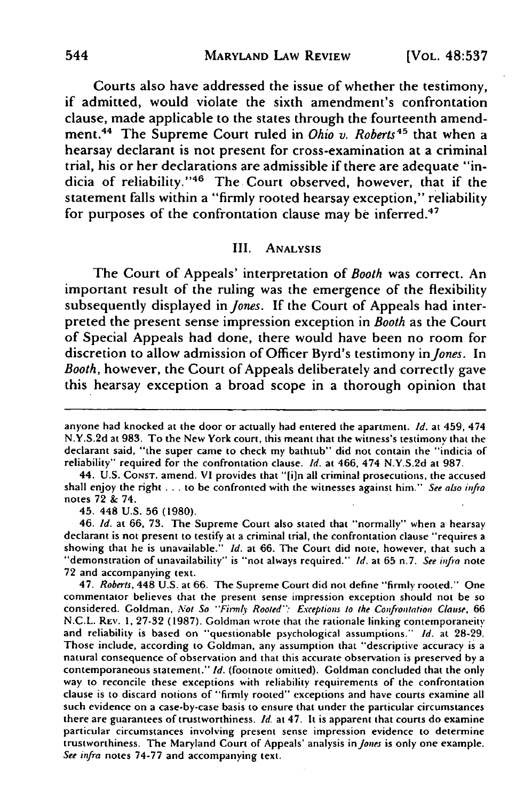Courts also have addressed the issue of whether the testimony, if admitted, would violate **the** sixth amendment's confrontation clause, made applicable to the states through the fourteenth amendment.<sup>44</sup> The Supreme Court ruled in *Ohio v. Roberts*<sup>45</sup> that when a hearsay declarant is not present for cross-examination at a criminal trial, his or her declarations are admissible if there are adequate "indicia of reliability."46 The Court observed, however, that if the statement falls within a "firmly rooted hearsay exception," reliability for purposes of the confrontation clause may be inferred.<sup>47</sup>

#### **III.** ANALYSIS

The Court of Appeals' interpretation of *Booth* was correct. An important result of the ruling was the emergence of the flexibility subsequently displayed in *Jones.* If **the** Court of Appeals had interpreted the present sense impression exception in *Booth* as the Court of Special Appeals had done, there would have been no room for discretion to allow admission of Officer Byrd's testimony in *Jones.* In *Booth,* however, the Court of Appeals deliberately and correctly gave this hearsay exception a broad scope in a thorough opinion that

45. 448 U.S. 56 (1980).

46. **Id.** at **66,** 73. The Supreme Court also stated that "normally" when a hearsay declarant is not present to testify at a criminal trial, the confrontation clause "requires a showing that he is unavailable." **Id.** at 66. The Court did note, however, that such a "demonstration of unavailability" is "not always required." **Id.** at 65 n.7. See infra note **72** and accompanying text.

47. Roberts, 448 U.S. at 66. The Supreme Court did not define "firmly rooted." One commentator believes that the present sense impression exception should not be so considered. Goldman, Not So "Firmly Rooted": Exceptions to the Confrontation Clause, 66 N.C.L. REV. **1,** 27-32 (1987). Goldman wrote that the rationale linking contemporaneity and reliability is based on "questionable psychological assumptions." *Id.* at 28-29. Those include, according to Goldman, any assumption that "descriptive accuracy is a natural consequence of observation and that this accurate observation is preserved by a contemporaneous statement." *Id.* (footnote omitted). Goldman concluded that the only way to reconcile these exceptions with reliability requirements of the confrontation clause is to discard notions of "firmly rooted" exceptions and have courts examine all such evidence on a case-by-case basis to ensure that under the particular circumstances there are guarantees of trustworthiness. *Id.* at 47. It is apparent that courts do examine particular circumstances involving present sense impression evidence to determine trustworthiness. The Maryland Court of Appeals' analysis in *Jones* is only one example. *See infra* notes 74-77 and accompanying text.

anyone had knocked at the door or actually had entered the apartment.  $Id$ . at 459, 474 N.Y.S.2d at 983. To the New York court, this meant that the witness's testimony that the declarant said, "the super came to check my bathtub" did not contain the "indicia of reliability" required for the confrontation clause. **Id.** at 466, 474 N.Y.S.2d at 987.

<sup>44.</sup> U.S. **CONST.** amend. VI provides that "[in all criminal prosecutions, the accused shall enjoy the right . . . to be confronted with the witnesses against him." See also infra notes 72 & 74.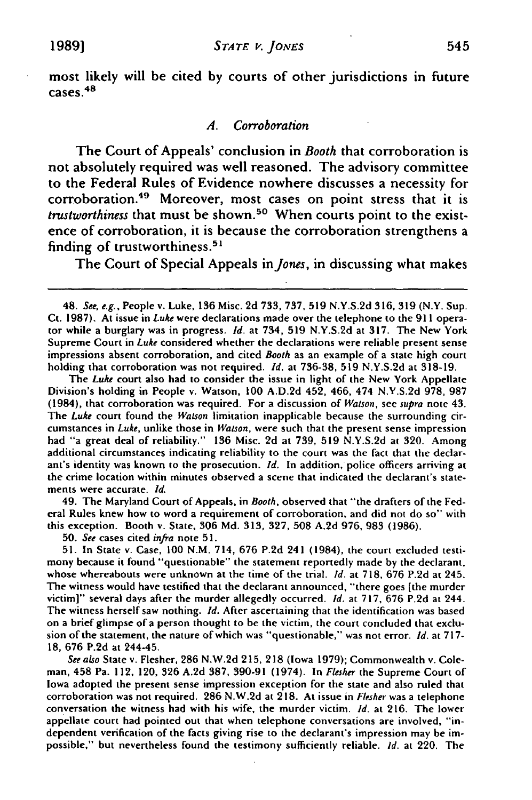most likely will be cited **by** courts of other jurisdictions in future  $cases.<sup>48</sup>$ 

#### *A. Corroboration*

The Court of Appeals' conclusion in *Booth* that corroboration is not absolutely required was well reasoned. The advisory committee to the Federal Rules of Evidence nowhere discusses a necessity for corroboration.49 Moreover, most cases on point stress that it is *trustworthiness* that must be shown.50 When courts point to the existence of corroboration, it is because the corroboration strengthens a finding of trustworthiness. $51$ 

The Court of Special Appeals in *Jones,* in discussing what makes

48. *See, e.g.,* People v. Luke, **136** Misc. 2d 733, 737, **519** N.Y.S.2d 316, 319 (N.Y. Sup. **Ct.** 1987). At issue in *Luke* were declarations made over the telephone to the 911 operator while a burglary was in progress. *id.* at 734, **519** N.Y.S.2d at 317. The New York Supreme Court in Luke considered whether the declarations were reliable present sense impressions absent corroboration, and cited Booth as an example of a state high court holding that corroboration was not required. Id. at 736-38, 519 N.Y.S.2d at 318-19.

The Luke court also had to consider the issue in light of the New York Appellate Division's holding in People v. Watson, **100** A.D.2d 452, 466, 474 N.Y.S.2d 978, 987 (1984), that corroboration was required. For a discussion of Watson, see supra note 43. The Luke court found the Watson limitation inapplicable because the surrounding circumstances in Luke, unlike those in Watson, were such that the present sense impression had "a great deal of reliability." 136 Misc. 2d at 739, 519 N.Y.S.2d at 320. Among additional circumstances indicating reliability to the court was the fact that the declarant's identity was known to the prosecution. Id. In addition, police officers arriving at the crime location within minutes observed a scene that indicated the declarant's statements were accurate. **Id.**

49. The Maryland Court of Appeals, in Booth, observed that "the drafters of the Federal Rules knew how to word a requirement of corroboration, and did not do so" with this exception. Booth v. State, **306 Md. 313, 327, 508 A.2d 976, 983** (1986).

**50.** See cases cited infra note **51.**

**51.** In State v. Case, **100** N.M. 714, **676 P.2d** 241 (1984), the court excluded testimony because it found "questionable" the statement reportedly made **by** the declarant, whose whereabouts were unknown at the time of the trial. **Id.** at **718, 676 P.2d** at 245. The witness would have testified that the declarant announced, "there goes [the murder victim]" several days after the murder allegedly occurred. **Id.** at **717, 676 P.2d** at 244. The witness herself saw nothing. **Id.** After ascertaining that the identification was based on a brief glimpse of a person thought to be the victim, the court concluded that exclusion of the statement, the nature of which was "questionable," was not error. **Id.** at **717-** 18, **676 P.2d** at 244-45.

See also State v. Flesher, 286 N.W.2d 215, **218** (Iowa 1979); Commonwealth v. Coleman, 458 Pa. 112, 120, **326 A.2d 387, 390-91** (1974). In Flesher **the** Supreme Court of Iowa adopted the present sense impression exception for the state and also ruled that corroboration was not required. **286 N.W.2d** at 218. At issue in Flesher was a telephone conversation the witness had with his wife, the murder victim. *Id.* at 216. The lower appellate court had pointed out that when telephone conversations are involved, "independent verification of the facts giving rise to the declarant's impression may **be** impossible," but nevertheless found the testimony sufficiently reliable. **Id.** at 220. The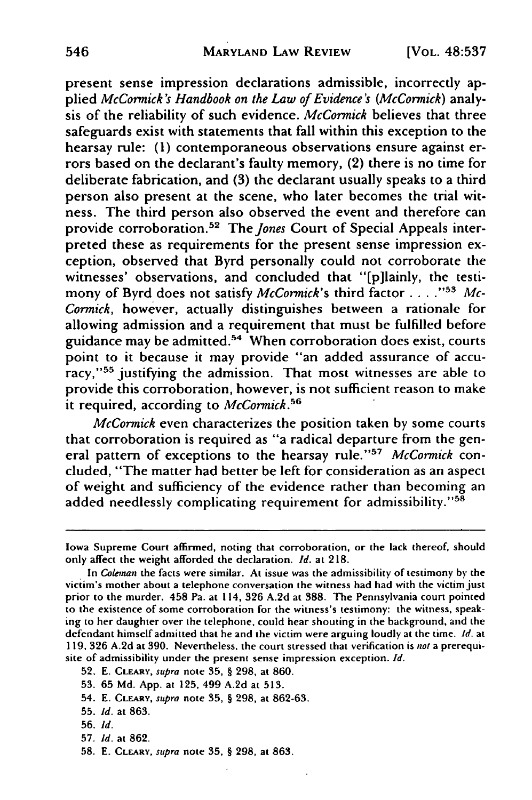present sense impression declarations admissible, incorrectly applied *McCormick's Handbook on the Law of Evidence's (McCormick)* analysis of the reliability of such evidence. *McCormick* believes that three safeguards exist with statements that fall within this exception to the hearsay rule: (1) contemporaneous observations ensure against errors based on the declarant's faulty memory, (2) there is no time for deliberate fabrication, and **(3)** the declarant usually speaks to a third person also present at the scene, who later becomes the trial witness. The third person also observed the event and therefore can provide corroboration.<sup>52</sup> The *Jones* Court of Special Appeals interpreted these as requirements for the present sense impression exception, observed that Byrd personally could not corroborate the witnesses' observations, and concluded that "[p]lainly, the testimony of Byrd does not satisfy *McCormick's* third factor . . . . "<sup>53</sup> Mc-*Cormick,* however, actually distinguishes between a rationale for allowing admission and a requirement that must be fulfilled before guidance may be admitted.<sup>54</sup> When corroboration does exist, courts point to it because it may provide "an added assurance of accuracy,"<sup>55</sup> justifying the admission. That most witnesses are able to provide this corroboration, however, is not sufficient reason to make it required, according to *McCormick.56*

*McCormick* even characterizes the position taken by some courts that corroboration is required as "a radical departure from the general pattern of exceptions to the hearsay rule."<sup>57</sup> McCormick concluded, "The matter had better be left for consideration as an aspect of weight and sufficiency of the evidence rather than becoming an added needlessly complicating requirement for admissibility." $58$ 

- 54. E. CLEARY, *supra* note **35,** § 298, at 862-63.
- **55. Id.** at 863.
- **56.** *Id.*
- **57.** *Id.* at **862.**
- **58.** E. **CLEARY,** supra note **35,** § **298,** at 863.

Iowa Supreme Court affirmed, noting that corroboration, or the lack thereof, should only affect the weight afforded the declaration. *Id.* at 218.

In *Coleman* the facts were similar. At issue was the admissibility of testimony by the victim's mother about a telephone conversation the witness had had with the victim just prior to the murder. 458 Pa. at 114, **326** A.2d at 388. The Pennsylvania court pointed to the existence of some corroboration for the witness's testimony: the witness, speaking to her daughter over the telephone, could hear shouting in the background, and the defendant himself admitted that he and the victim were arguing loudly at the time. *Id.* at **119, 326** A.2d at 390. Nevertheless, the court stressed that verification is not a prerequisite of admissibility under the present sense impression exception. Id.

<sup>52.</sup> E. CLEARY, supra note **35,** § 298, at 860.

**<sup>53. 65</sup>** Md. **App.** at 125, 499 A.2d at 513.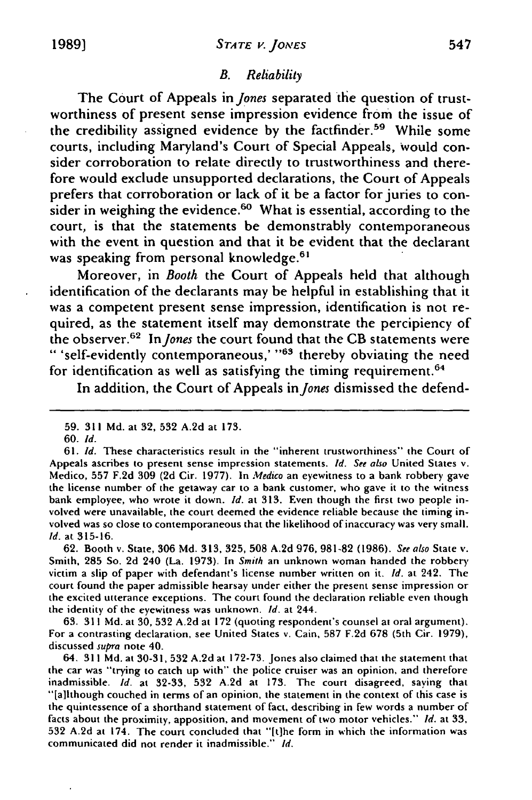# *B. Reliability*

The Court of Appeals in *Jones* separated the question of trustworthiness of present sense impression evidence from the issue of the credibility assigned evidence by the factfinder.59 While some courts, including Maryland's Court of Special Appeals, Would consider corroboration to relate directly to trustworthiness and therefore would exclude unsupported declarations, the Court of Appeals prefers that corroboration or lack of it be a factor for juries to consider in weighing the evidence.<sup>60</sup> What is essential, according to the court, is that the statements be demonstrably contemporaneous with the event in question and that it be evident that the declarant was speaking from personal knowledge.<sup>61</sup>

Moreover, in *Booth* the Court of Appeals held that although identification of the declarants may be helpful in establishing that it was a competent present sense impression, identification is not required, as the statement itself may demonstrate the percipiency of the observer.<sup>62</sup> In Jones the court found that the CB statements were " 'self-evidently contemporaneous,' "<sup>63</sup> thereby obviating the need for identification as well as satisfying the timing requirement.<sup>64</sup>

In addition, the Court of Appeals *inJones* dismissed the defend-

**62.** Booth v. State, **306** Md. **313, 325,** 508 **A.2d** 976, 981-82 (1986). See also State v. Smith, **285** So. 2d 240 (La. 1973). In Smith an unknown woman handed the robbery victim a slip of paper with defendant's license number written on it. *Id.* at 242. The court found the paper admissible hearsay under either the present sense impression or the excited utterance exceptions. The court found the declaration reliable even though the identity of the eyewitness was unknown. *Id.* at 244.

**63. 311** Md. at 30, **532** A.2d at 172 (quoting respondent's counsel at oral argument). For a contrasting declaration, see United States v. Cain, **587** F.2d **678** (5th Cir. 1979), discussed supra note 40.

64. **311** Md. at **30-31, 532** A.2d at 172-73. Jones also claimed that the statement that the car was "trying to catch up with" the police cruiser was an opinion, and therefore inadmissible. *Id.* at 32-33, 532 A.2d at 173. The court disagreed, saying tha "[a]lthough couched in terms of an opinion, the statement in the context of this case is the quintessence of a shorthand statement of fact, describing in few words a number of facts about the proximity, apposition, and movement of two motor vehicles." *Id.* at **33,** 532 A.2d at 174. The court concluded that "[t]he form in which the information was communicated did not render it inadmissible." *Id.*

**<sup>59. 311</sup> Md.** at **32, 532 A.2d** at **173.**

**<sup>60.</sup>** *Id.*

**<sup>61.</sup>** *Id.* These characteristics result in the "inherent trustworthiness" the Court of Appeals ascribes to present sense impression statements. *Id. See* also United States v. Medico, **557** F.2d 309 (2d Cir. 1977). In *Medico* an eyewitness to a bank robbery gave the license number of the getaway car to a bank customer, who gave it to the witness bank employee, who wrote it down. *Id.* at **313.** Even though the first two people involved were unavailable, the court deemed the evidence reliable because the timing involved was so close to contemporaneous that the likelihood of inaccuracy was very small. Id. at **315-16.**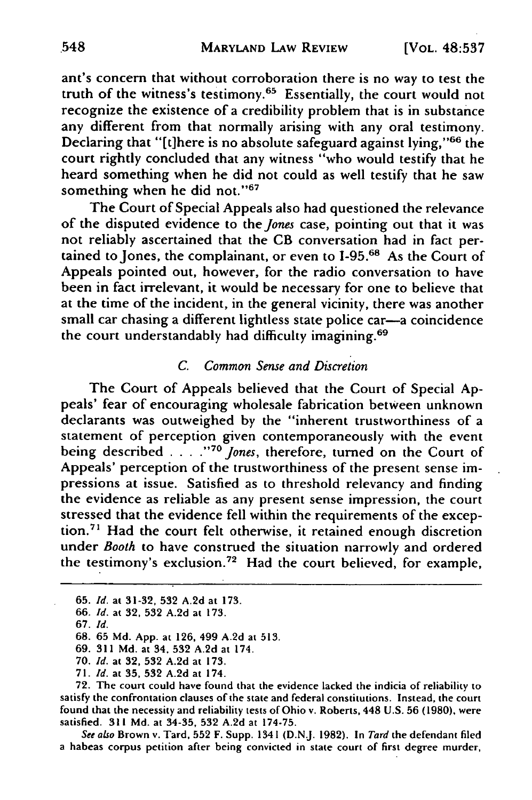ant's concern that without corroboration there is no way to test the truth of the witness's testimony.<sup>65</sup> Essentially, the court would not recognize the existence of a credibility problem that is in substance any different from that normally arising with any oral testimony. Declaring that "[t]here is no absolute safeguard against lying," $66$  the court rightly concluded that any witness "who would testify that he heard something when he did not could as well testify that he saw something when he did not."<sup>67</sup>

The Court of Special Appeals also had questioned the relevance of the disputed evidence to the *Jones* case, pointing out that it was not reliably ascertained that the **CB** conversation had in fact pertained to Jones, the complainant, or even to **1-95.68** As the Court of Appeals pointed out, however, for the radio conversation to have been in fact irrelevant, it would be necessary for one to believe that at the time of the incident, in the general vicinity, there was another small car chasing a different lightless state police car-a coincidence the court understandably had difficulty imagining. <sup>69</sup>

# *C. Common Sense and Discretion*

The Court of Appeals believed that the Court of Special **Ap**peals' fear of encouraging wholesale fabrication between unknown declarants was outweighed by the "inherent trustworthiness of a statement of perception given contemporaneously with the event being described **... ."o** *Jones,* therefore, turned on the Court of Appeals' perception of the trustworthiness of the present sense impressions at issue. Satisfied as to threshold relevancy and finding the evidence as reliable as any present sense impression, the court stressed that the evidence fell within the requirements of the exception.<sup>71</sup> Had the court felt otherwise, it retained enough discretion under *Booth* to have construed the situation narrowly and ordered the testimony's exclusion.<sup>72</sup> Had the court believed, for example,

71. *Id.* at **35,** 532 A.2d at 174.

**72.** The court could have found that the evidence lacked the indicia of reliability to satisfy the confrontation clauses of the state and federal constitutions. Instead, the court found that the necessity and reliability tests of Ohio v. Roberts, 448 U.S. 56 (1980), were satisfied. 311 **Md.** at 34-35, 532 A.2d at 174-75.

*See also* Brown v. Tard, **552** F. Supp. 1341 (D.N.J. 1982). In *Tard* the defendant filed a habeas corpus petition after being convicted in state court of first degree murder,

<sup>65.</sup> *Id.* at 31-32, 532 A.2d at 173.

*<sup>66.</sup> Id.* at 32, 532 A.2d at 173.

<sup>67.</sup> *Id.*

<sup>68. 65</sup> Md. App. at 126, 499 A.2d at 513.

<sup>69. 311</sup> **Md.** at 34, 532 A.2d at 174.

<sup>70.</sup> *Id.* at 32, 532 A.2d at 173.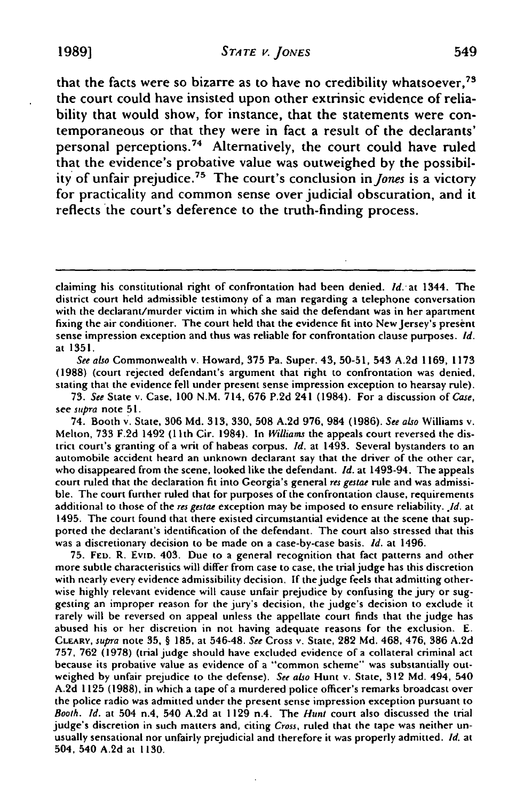**19891** *STA TE V. JONES* 549

that the facts were so bizarre as to have no credibility whatsoever,  $7<sup>3</sup>$ the court could have insisted upon other extrinsic evidence of reliability that would show, for instance, that the statements were contemporaneous or that they were in fact a result of the declarants' personal perceptions.74 Alternatively, the court could have ruled that the evidence's probative value was outweighed by the possibility of unfair prejudice. 75 The court's conclusion in *Jones* is a victory for practicality and common sense over judicial obscuration, and it reflects the court's deference to the truth-finding process.

*See also* Commonwealth v. Howard, **375** Pa. Super. 43, **50-51,** 543 **A.2d 1169, 1173** (1988) (court rejected defendant's argument that right to confrontation was denied, stating that the evidence fell under present sense impression exception to hearsay rule).

**73.** *See* State v. Case, **100** N.M. 714, **676 P.2d** 241 (1984). For a discussion of *Case,* see *supra* note **51.**

74. Booth v. State, **306 Md. 313,** 330, **508 A.2d 976,** 984 **(1986).** *See also* Williams v. Melton, **733 F.2d** 1492 (11 th Cir. 1984). In *Williams* the appeals court reversed the district court's granting of a writ of habeas corpus. *Id.* at 1493. Several bystanders to an automobile accident heard an unknown declarant say that the driver of the other car, who disappeared from the scene, looked like the defendant. *Id.* at 1493-94. The appeals court ruled that the declaration fit into Georgia's general *res gestae* rule and was admissible. The court further ruled that for purposes of the confrontation clause, requirements additional to those of the *res gestae* exception may be imposed to ensure reliability. *.1d.* at 1495. The court found that there existed circumstantial evidence at the scene that supported the declarant's identification of the defendant. The court also stressed that this was a discretionary decision to **be** made on a case-by-case basis. *Id.* at 1496.

75. **FED.** R. **EVID.** 403. Due to a general recognition that fact patterns and other more subtle characteristics will differ from case to case, the trial judge has this discretion with nearly every evidence admissibility decision. **If** the judge feels that admitting otherwise highly relevant evidence will cause unfair prejudice **by** confusing the jury or suggesting an improper reason for the jury's decision, the judge's decision to exclude it rarely will be reversed on appeal unless the appellate court finds that the judge has abused his or her discretion in not having adequate reasons for the exclusion. **E. CLEARY,** *supra* note 35, § 185, at 546-48. See Cross v. State, 282 **Md.** 468, 476, **386 A.2d** 757, 762 (1978) (trial judge should have excluded evidence of a collateral criminal act because its probative value as evidence of a "common scheme" was substantially outweighed by unfair prejudice to the defense). See also Hunt v. State, 312 Md. 494, 540 A.2d 1125 (1988), in which a tape of a murdered police officer's remarks broadcast over the police radio was admitted under the present sense impression exception pursuant to Booth. **Id.** at 504 n.4, 540 A.2d at 1129 n.4. The Hunt court also discussed the trial judge's discretion in such matters and, citing *Cross,* ruled that the tape was neither unusually sensational nor unfairly prejudicial and therefore it was properly admitted. **Id.** at 504, 540 A.2d at 1130.

claiming his constitutional right of confrontation had been denied. *Id.* at 1344. The district court held admissible testimony of a man regarding a telephone conversation with the declarant/murder victim in which she said the defendant was in her apartment fixing the air conditioner. The court **held** that the evidence **fit** into New Jersey's present sense impression exception and thus was reliable for confrontation clause purposes. *Id.* at **1351.**